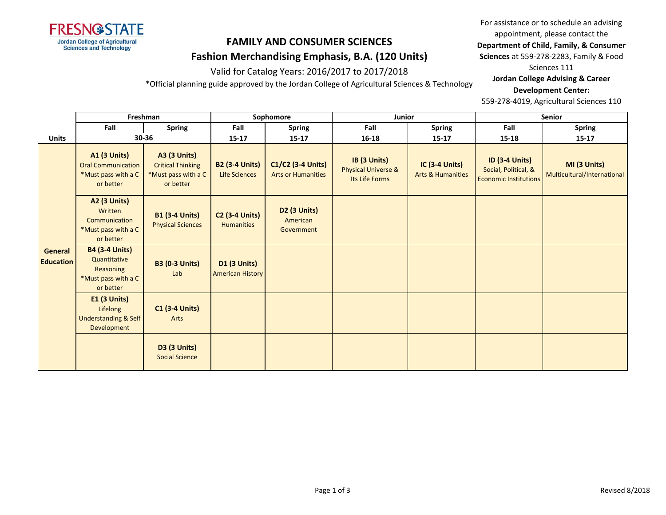

# **FAMILY AND CONSUMER SCIENCES Fashion Merchandising Emphasis, B.A. (120 Units)**

Valid for Catalog Years: 2016/2017 to 2017/2018

\*Official planning guide approved by the Jordan College of Agricultural Sciences & Technology

For assistance or to schedule an advising appointment, please contact the **Department of Child, Family, & Consumer Sciences** at 559-278-2283, Family & Food

Sciences 111

**Jordan College Advising & Career** 

#### **Development Center:**

559-278-4019, Agricultural Sciences 110

|                                    | Freshman                                                                               |                                                                                     | Sophomore                                      |                                                | Junior                                                           |                                                       | Senior                                                                        |                                             |
|------------------------------------|----------------------------------------------------------------------------------------|-------------------------------------------------------------------------------------|------------------------------------------------|------------------------------------------------|------------------------------------------------------------------|-------------------------------------------------------|-------------------------------------------------------------------------------|---------------------------------------------|
|                                    | Fall                                                                                   | <b>Spring</b>                                                                       | Fall                                           | <b>Spring</b>                                  | Fall                                                             | <b>Spring</b>                                         | Fall                                                                          | <b>Spring</b>                               |
| <b>Units</b>                       |                                                                                        | 30-36                                                                               | $15 - 17$                                      | $15 - 17$                                      | 16-18                                                            | $15 - 17$                                             | 15-18                                                                         | $15 - 17$                                   |
| <b>General</b><br><b>Education</b> | <b>A1 (3 Units)</b><br><b>Oral Communication</b><br>*Must pass with a C<br>or better   | <b>A3 (3 Units)</b><br><b>Critical Thinking</b><br>*Must pass with a C<br>or better | <b>B2 (3-4 Units)</b><br><b>Life Sciences</b>  | C1/C2 (3-4 Units)<br><b>Arts or Humanities</b> | IB (3 Units)<br><b>Physical Universe &amp;</b><br>Its Life Forms | <b>IC (3-4 Units)</b><br><b>Arts &amp; Humanities</b> | <b>ID (3-4 Units)</b><br>Social, Political, &<br><b>Economic Institutions</b> | MI (3 Units)<br>Multicultural/International |
|                                    | <b>A2 (3 Units)</b><br>Written<br>Communication<br>*Must pass with a C<br>or better    | <b>B1 (3-4 Units)</b><br><b>Physical Sciences</b>                                   | <b>C2 (3-4 Units)</b><br><b>Humanities</b>     | <b>D2 (3 Units)</b><br>American<br>Government  |                                                                  |                                                       |                                                                               |                                             |
|                                    | <b>B4 (3-4 Units)</b><br>Quantitative<br>Reasoning<br>*Must pass with a C<br>or better | <b>B3 (0-3 Units)</b><br>Lab                                                        | <b>D1 (3 Units)</b><br><b>American History</b> |                                                |                                                                  |                                                       |                                                                               |                                             |
|                                    | $E1$ (3 Units)<br>Lifelong<br>Understanding & Self<br>Development                      | <b>C1 (3-4 Units)</b><br>Arts                                                       |                                                |                                                |                                                                  |                                                       |                                                                               |                                             |
|                                    |                                                                                        | <b>D3 (3 Units)</b><br><b>Social Science</b>                                        |                                                |                                                |                                                                  |                                                       |                                                                               |                                             |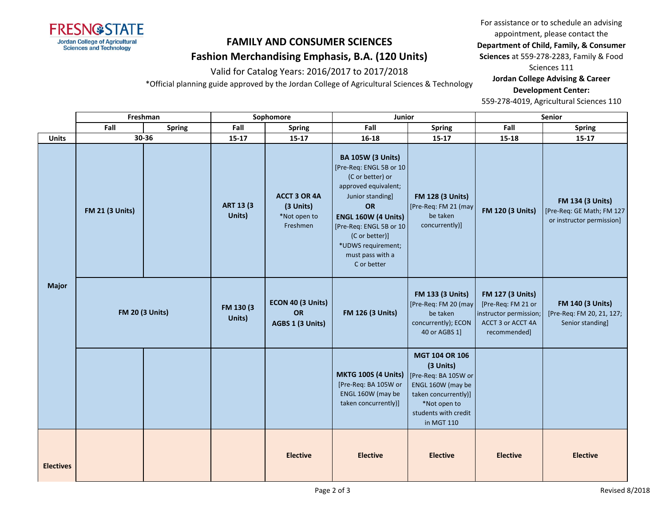

# **FAMILY AND CONSUMER SCIENCES Fashion Merchandising Emphasis, B.A. (120 Units)**

Valid for Catalog Years: 2016/2017 to 2017/2018

\*Official planning guide approved by the Jordan College of Agricultural Sciences & Technology

For assistance or to schedule an advising appointment, please contact the **Department of Child, Family, & Consumer Sciences** at 559-278-2283, Family & Food

Sciences 111

**Jordan College Advising & Career** 

**Development Center:**

559-278-4019, Agricultural Sciences 110

|                  | Freshman               |               | Sophomore                   |                                                       | Junior                                                                                                                                                                                                                                                 |                                                                                                                                                        | Senior                                                                                                       |                                                                            |
|------------------|------------------------|---------------|-----------------------------|-------------------------------------------------------|--------------------------------------------------------------------------------------------------------------------------------------------------------------------------------------------------------------------------------------------------------|--------------------------------------------------------------------------------------------------------------------------------------------------------|--------------------------------------------------------------------------------------------------------------|----------------------------------------------------------------------------|
|                  | Fall                   | <b>Spring</b> | Fall                        | <b>Spring</b>                                         | Fall                                                                                                                                                                                                                                                   | <b>Spring</b>                                                                                                                                          | Fall                                                                                                         | <b>Spring</b>                                                              |
| <b>Units</b>     | 30-36                  |               | $15 - 17$                   | $15 - 17$                                             | 16-18                                                                                                                                                                                                                                                  | $15 - 17$                                                                                                                                              | 15-18                                                                                                        | $15 - 17$                                                                  |
| <b>Major</b>     | <b>FM 21 (3 Units)</b> |               | <b>ART 13 (3)</b><br>Units) | ACCT 3 OR 4A<br>(3 Units)<br>*Not open to<br>Freshmen | <b>BA 105W (3 Units)</b><br>[Pre-Req: ENGL 5B or 10<br>(C or better) or<br>approved equivalent;<br>Junior standing]<br>OR<br>ENGL 160W (4 Units)<br>[Pre-Req: ENGL 5B or 10<br>(C or better)]<br>*UDWS requirement;<br>must pass with a<br>C or better | <b>FM 128 (3 Units)</b><br>[Pre-Req: FM 21 (may<br>be taken<br>concurrently)]                                                                          | <b>FM 120 (3 Units)</b>                                                                                      | FM 134 (3 Units)<br>[Pre-Req: GE Math; FM 127<br>or instructor permission] |
|                  | <b>FM 20 (3 Units)</b> |               | FM 130 (3)<br>Units)        | ECON 40 (3 Units)<br><b>OR</b><br>AGBS 1 (3 Units)    | <b>FM 126 (3 Units)</b>                                                                                                                                                                                                                                | <b>FM 133 (3 Units)</b><br>[Pre-Req: FM 20 (may<br>be taken<br>concurrently); ECON<br>40 or AGBS 1]                                                    | <b>FM 127 (3 Units)</b><br>[Pre-Req: FM 21 or<br>instructor permission;<br>ACCT 3 or ACCT 4A<br>recommended] | <b>FM 140 (3 Units)</b><br>[Pre-Req: FM 20, 21, 127;<br>Senior standing]   |
|                  |                        |               |                             |                                                       | <b>MKTG 100S (4 Units)</b><br>[Pre-Req: BA 105W or<br>ENGL 160W (may be<br>taken concurrently)]                                                                                                                                                        | MGT 104 OR 106<br>(3 Units)<br>[Pre-Req: BA 105W or<br>ENGL 160W (may be<br>taken concurrently)]<br>*Not open to<br>students with credit<br>in MGT 110 |                                                                                                              |                                                                            |
| <b>Electives</b> |                        |               |                             | <b>Elective</b>                                       | <b>Elective</b>                                                                                                                                                                                                                                        | <b>Elective</b>                                                                                                                                        | <b>Elective</b>                                                                                              | <b>Elective</b>                                                            |